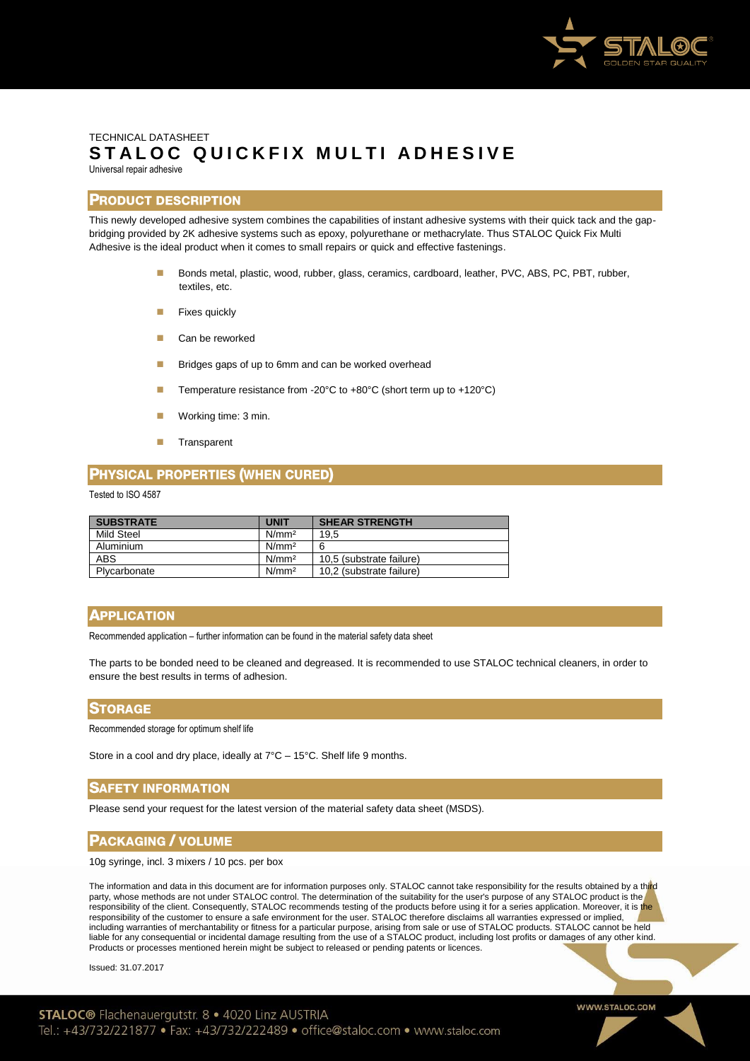

# TECHNICAL DATASHEET STALOC QUICKFIX MULTI ADHESIVE Universal repair adhesive

## **PRODUCT DESCRIPTION**

This newly developed adhesive system combines the capabilities of instant adhesive systems with their quick tack and the gapbridging provided by 2K adhesive systems such as epoxy, polyurethane or methacrylate. Thus STALOC Quick Fix Multi Adhesive is the ideal product when it comes to small repairs or quick and effective fastenings.

- Bonds metal, plastic, wood, rubber, glass, ceramics, cardboard, leather, PVC, ABS, PC, PBT, rubber, textiles, etc.
- Fixes quickly
- **Can be reworked**
- **Bridges gaps of up to 6mm and can be worked overhead**
- Temperature resistance from -20°C to +80°C (short term up to +120°C)
- **Working time: 3 min.**
- **Transparent**

## **PHYSICAL PROPERTIES (WHEN CURED)**

#### Tested to ISO 4587

| <b>SUBSTRATE</b> | <b>UNIT</b>       | <b>SHEAR STRENGTH</b>    |
|------------------|-------------------|--------------------------|
| Mild Steel       | N/mm <sup>2</sup> | 19,5                     |
| Aluminium        | N/mm <sup>2</sup> | ี่ค                      |
| <b>ABS</b>       | N/mm <sup>2</sup> | 10,5 (substrate failure) |
| Plycarbonate     | N/mm <sup>2</sup> | 10.2 (substrate failure) |

## **APPLICATION**

Recommended application – further information can be found in the material safety data sheet

The parts to be bonded need to be cleaned and degreased. It is recommended to use STALOC technical cleaners, in order to ensure the best results in terms of adhesion.

#### **STORAGE**

Recommended storage for optimum shelf life

Store in a cool and dry place, ideally at 7°C – 15°C. Shelf life 9 months.

## **SAFETY INFORMATION**

Please send your request for the latest version of the material safety data sheet (MSDS).

## **PACKAGING / VOLUME**

10g syringe, incl. 3 mixers / 10 pcs. per box

The information and data in this document are for information purposes only. STALOC cannot take responsibility for the results obtained by a third party, whose methods are not under STALOC control. The determination of the suitability for the user's purpose of any STALOC product is the responsibility of the client. Consequently, STALOC recommends testing of the products before using it for a series application. Moreover, it is the responsibility of the customer to ensure a safe environment for the user. STALOC therefore disclaims all warranties expressed or implied, including warranties of merchantability or fitness for a particular purpose, arising from sale or use of STALOC products. STALOC cannot be held liable for any consequential or incidental damage resulting from the use of a STALOC product, including lost profits or damages of any other kind. Products or processes mentioned herein might be subject to released or pending patents or licences.

Issued: 31.07.2017

WWW.STALOC.COM